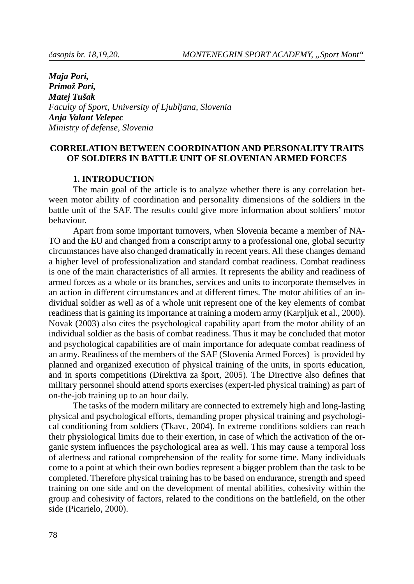*Maja Pori,* Primož Pori, *Ma tej Tu šak* Faculty of Sport, University of Ljubljana, Slovenia *Anja Va lant Ve le pec Mi ni stry of de fen se, Slo ve nia*

# **CORRELATION BETWEEN COORDINATION AND PERSONALITY TRAITS OF SOLDIERS IN BATTLE UNIT OF SLOVENIAN ARMED FORCES**

## **1. IN TRO DUC TION**

The main goal of the article is to analyze whether there is any correlation between motor ability of coordination and personality dimensions of the soldiers in the battle unit of the SAF. The results could give more information about soldiers' motor **behaviour** 

Apart from some important turnovers, when Slovenia became a member of NA-TO and the EU and changed from a conscript army to a professional one, global security circum stances have also changed dramatically in recent years. All these changes demand a higher level of professionalization and standard combat readiness. Combat readiness is one of the main characteristics of all armies. It represents the ability and readiness of armed forces as a whole or its branches, services and units to incorporate themselves in an action in different circumstances and at different times. The motor abilities of an individual soldier as well as of a whole unit represent one of the key elements of combat readiness that is gaining its importance at training a modern army (Karpljuk et al., 2000). Novak (2003) also cites the psychological capability apart from the motor ability of an individual soldier as the basis of combat readiness. Thus it may be concluded that motor and psychological capabilities are of main importance for adequate combat readiness of an army. Readiness of the members of the SAF (Slovenia Armed Forces) is provided by planned and organized execution of physical training of the units, in sports education, and in sports competitions (Direktiva za šport, 2005). The Directive also defines that military personnel should attend sports exercises (expert-led physical training) as part of on-the-job training up to an hour daily.

The tasks of the modern military are connected to extremely high and long-lasting physical and psychological efforts, demanding proper physical training and psychological conditioning from soldiers (Tkavc, 2004). In extreme conditions soldiers can reach their physiological limits due to their exertion, in case of which the activation of the organic system influences the psychological area as well. This may cause a temporal loss of alertness and rational comprehension of the reality for some time. Many individuals come to a point at which their own bodies represent a bigger problem than the task to be completed. Therefore physical training has to be based on endurance, strength and speed training on one side and on the development of mental abilities, cohesivity within the group and cohesivity of factors, related to the conditions on the battlefield, on the other side (Picarielo, 2000).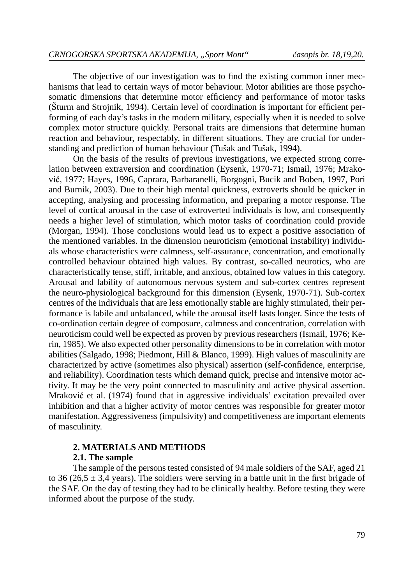The objective of our investigation was to find the existing common inner mechanisms that lead to certain ways of motor behaviour. Motor abilities are those psychosomatic dimensions that determine motor efficiency and performance of motor tasks (Šturm and Strojnik, 1994). Certain level of coordination is important for efficient performing of each day's tasks in the modern military, especially when it is needed to solve complex motor structure quickly. Personal traits are dimensions that determine human reaction and behaviour, respectably, in different situations. They are crucial for understanding and prediction of human behaviour (Tušak and Tušak, 1994).

On the basis of the results of previous investigations, we expected strong correlation between extraversion and coordination (Eysenk, 1970-71; Ismail, 1976; Mrakovič, 1977; Hayes, 1996, Caprara, Barbaranelli, Borgogni, Bucik and Boben, 1997, Pori and Burnik, 2003). Due to their high mental quickness, extroverts should be quicker in accepting, analysing and processing information, and preparing a motor response. The level of cortical arousal in the case of extroverted individuals is low, and consequently needs a higher level of stimulation, which motor tasks of coordination could provide (Morgan, 1994). Those conclusions would lead us to expect a positive association of the mentioned variables. In the dimension neuroticism (emotional instability) individuals whose characteristics were calmness, self-assurance, concentration, and emotionally controlled behaviour obtained high values. By contrast, so-called neurotics, who are characteristically tense, stiff, irritable, and anxious, obtained low values in this category. Arousal and lability of autonomous nervous system and sub-cortex centres represent the neuro-physiological background for this dimension (Eysenk, 1970-71). Sub-cortex centres of the individuals that are less emotionally stable are highly stimulated, their performance is labile and unbalanced, while the arousal itself lasts longer. Since the tests of co-ordination certain degree of composure, calmness and concentration, correlation with neuroticism could well be expected as proven by previous researchers (Ismail, 1976; Kerin, 1985). We also expected other personality dimensions to be in correlation with motor abilities (Salgado, 1998; Piedmont, Hill & Blanco, 1999). High values of masculinity are characterized by active (sometimes also physical) assertion (self-confidence, enterprise, and reliability). Coordination tests which demand quick, precise and intensive motor activity. It may be the very point connected to masculinity and active physical assertion. Mraković et al. (1974) found that in aggressive individuals' excitation prevailed over in hibition and that a higher activity of motor centres was responsible for greater motor manifestation. Aggressiveness (impulsivity) and competitiveness are important elements of masculinity.

## **2. MATERIALS AND METHODS**

## **2.1. The sample**

The sample of the persons tested consisted of 94 male soldiers of the SAF, aged 21 to 36 (26,5  $\pm$  3,4 years). The soldiers were serving in a battle unit in the first brigade of the SAF. On the day of testing they had to be clinically healthy. Before testing they were informed about the purpose of the study.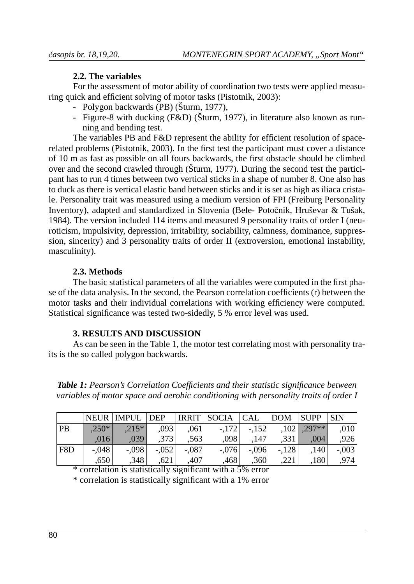# **2.2. The variables**

For the assessment of motor ability of coordination two tests were applied measuring quick and efficient solving of motor tasks (Pistotnik, 2003):

- Polygon backwards (PB) (Šturm, 1977),
- Figure-8 with ducking (F&D) (Šturm, 1977), in literature also known as running and bending test.

The variables PB and F&D represent the ability for efficient resolution of spacerelated problems (Pistotnik, 2003). In the first test the participant must cover a distance of 10 m as fast as possible on all fours backwards, the first obstacle should be climbed over and the second crawled through (Šturm, 1977). During the second test the participant has to run 4 times between two vertical sticks in a shape of number 8. One also has to duck as there is vertical elastic band between sticks and it is set as high as iliaca cristale. Personality trait was measured using a medium version of FPI (Freiburg Personality Inventory), adapted and standardized in Slovenia (Bele-Potočnik, Hruševar & Tušak, 1984). The version included 114 items and measured 9 personality traits of order I (neuroticism, impulsivity, depression, irritability, sociability, calmness, dominance, suppression, sincerity) and 3 personality traits of order II (extroversion, emotional instability, masculinity).

# **2.3. Met hods**

The basic statistical parameters of all the variables were computed in the first phase of the data analysis. In the second, the Pearson correlation coefficients (r) between the motor tasks and their individual correlations with working efficiency were computed. Statistical significance was tested two-sidedly, 5 % error level was used.

# **3. RESULTS AND DISCUSSION**

As can be seen in the Table 1, the motor test correlating most with personality traits is the so called polygon backwards.

*Table 1: Pearson's Correlation Coefficients and their statistic significance between variables of motor space and aerobic conditioning with personality traits of order I* 

|     |         | NEUR IMPUL DEP |         |         | IRRIT   SOCIA   CAL |                   | DOM SUPP |                   | <b>SIN</b> |
|-----|---------|----------------|---------|---------|---------------------|-------------------|----------|-------------------|------------|
| PB  | $.250*$ | $.215*$        | .0931   | .061    | $-172$              | $-152$            |          | $,102$ , $,297**$ | .010       |
|     | .0161   | .039           | .3731   | .563    | .0981               | .147              | .331     | .004              | .926       |
| F8D | $-.048$ | $-.098$        | $-.052$ | $-.087$ | $-.076$             | $-.096$           | $-.128$  | .1401             | $-.003$    |
|     | .650    | ,348           | .621    | .407    | ,468                | ,360 <sup>1</sup> | .221     | .180              | ا 974.     |

 $*$  correlation is statistically significant with a 5% error

\* correlation is statistically significant with a 1% error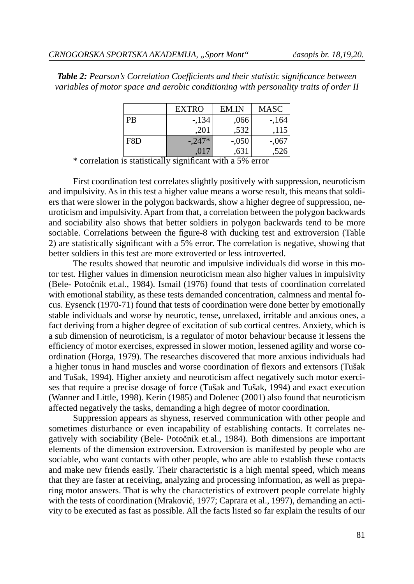| <b>Table 2:</b> Pearson's Correlation Coefficients and their statistic significance between |  |
|---------------------------------------------------------------------------------------------|--|
| variables of motor space and aerobic conditioning with personality traits of order II       |  |

|           | <b>EXTRO</b> | EM.IN   | <b>MASC</b> |
|-----------|--------------|---------|-------------|
| <b>PB</b> | $-134$       | .066    | $-164$      |
|           | .201         | .532    | .115        |
| F8D       | $-0.247*$    | $-.050$ | $-.067$     |
|           | .017         | .631    | .526        |

\* correlation is statistically significant with a 5% error

First coordination test correlates slightly positively with suppression, neuroticism and impulsivity. As in this test a higher value means a worse result, this means that soldiers that were slower in the polygon backwards, show a higher degree of suppression, neuroticism and impulsivity. Apart from that, a correlation between the polygon backwards and sociability also shows that better soldiers in polygon backwards tend to be more sociable. Correlations between the figure-8 with ducking test and extroversion (Table 2) are statistically significant with a 5% error. The correlation is negative, showing that better soldiers in this test are more extroverted or less introverted.

The results showed that neurotic and impulsive individuals did worse in this motor test. Higher values in dimension neuroticism mean also higher values in impulsivity (Bele- Potočnik et.al., 1984). Ismail (1976) found that tests of coordination correlated with emotional stability, as these tests demanded concentration, calmness and mental focus. Eysenck (1970-71) found that tests of coordination were done better by emotionally stable individuals and worse by neurotic, tense, unrelaxed, irritable and anxious ones, a fact deriving from a higher degree of excitation of sub cortical centres. Anxiety, which is a sub dimension of neuroticism, is a regulator of motor behaviour because it lessens the efficiency of motor exercises, expressed in slower motion, lessened agility and worse coordination (Horga, 1979). The researches discovered that more anxious individuals had a higher tonus in hand muscles and worse coordination of flexors and extensors (Tušak and Tušak, 1994). Higher anxiety and neuroticism affect negatively such motor exercises that require a precise dosage of force (Tušak and Tušak, 1994) and exact execution (Wanner and Little, 1998). Kerin (1985) and Dolenec (2001) also found that neuroticism affected negatively the tasks, demanding a high degree of motor coordination.

Suppression appears as shyness, reserved communication with other people and sometimes disturbance or even incapability of establishing contacts. It correlates negatively with sociability (Bele- Potočnik et.al., 1984). Both dimensions are important elements of the dimension extroversion. Extroversion is manifested by people who are sociable, who want contacts with other people, who are able to establish these contacts and make new friends easily. Their characteristic is a high mental speed, which means that they are faster at receiving, analyzing and processing information, as well as preparing motor answers. That is why the characteristics of extrovert people correlate highly with the tests of coordination (Mraković, 1977; Caprara et al., 1997), demanding an activity to be executed as fast as possible. All the facts listed so far explain the results of our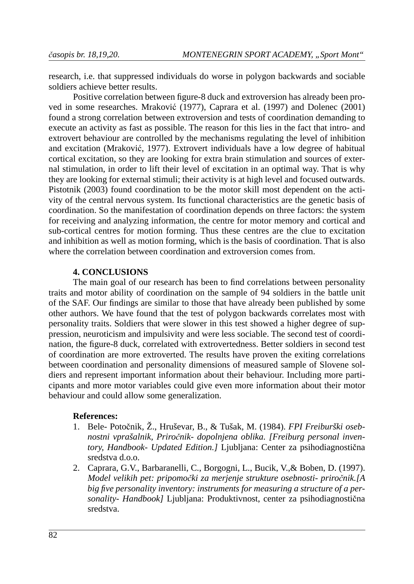research, i.e. that suppressed individuals do worse in polygon backwards and sociable soldiers achieve better results.

Positive correlation between figure-8 duck and extroversion has already been proved in some researches. Mraković (1977), Caprara et al. (1997) and Dolenec (2001) found a strong correlation between extroversion and tests of coordination demanding to execute an activity as fast as possible. The reason for this lies in the fact that intro- and extrovert behaviour are controlled by the mechanisms regulating the level of inhibition and excitation (Mraković, 1977). Extrovert individuals have a low degree of habitual cortical excitation, so they are looking for extra brain stimulation and sources of external stimulation, in order to lift their level of excitation in an optimal way. That is why they are looking for external stimuli; their activity is at high level and focused outwards. Pistotnik (2003) found coordination to be the motor skill most dependent on the activity of the central nervous system. Its functional characteristics are the genetic basis of coordination. So the manifestation of coordination depends on three factors: the system for receiving and analyzing information, the centre for motor memory and cortical and sub-cortical centres for motion forming. Thus these centres are the clue to excitation and in hibition as well as motion forming, which is the basis of coordination. That is also where the correlation between coordination and extroversion comes from.

# **4. CONCLUSIONS**

The main goal of our research has been to find correlations between personality traits and motor ability of coordination on the sample of 94 soldiers in the battle unit of the SAF. Our findings are similar to those that have already been published by some other authors. We have found that the test of polygon backwards correlates most with per sonality traits. Soldiers that were slower in this test showed a higher degree of suppression, neuroticism and impulsivity and were less sociable. The second test of coordination, the figure-8 duck, correlated with extrovertedness. Better soldiers in second test of coordination are more extroverted. The results have proven the exiting correlations between coordination and personality dimensions of measured sample of Slovene soldiers and represent important information about their behaviour. Including more participants and more motor variables could give even more information about their motor behaviour and could allow some generalization.

#### **Re fe ren ces:**

- 1. Bele- Potočnik, Ž., Hruševar, B., & Tušak, M. (1984). *FPI Freiburški oseb*nostni vprašalnik, Priročnik- dopolnjena oblika. [Freiburg personal inven*tory, Handbook- Updated Edition.]* Ljubljana: Center za psihodiagnostična sredstva d.o.o.
- 2. Caprara, G.V., Barbaranelli, C., Borgogni, L., Bucik, V., & Boben, D. (1997). *Model velikih pet: pripomočki za merjenje strukture osebnosti- priročnik.[A* big five personality inventory: instruments for measuring a structure of a personality- Handbook] Ljubljana: Produktivnost, center za psihodiagnostična sredstva.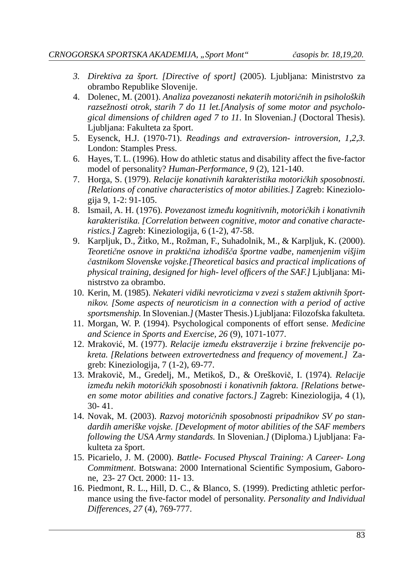- 3. Direktiva za šport. [Directive of sport] (2005). Ljubljana: Ministrstvo za obrambo Republike Slovenije.
- 4. Do le nec, M. (2001). *Ana li za po ve za no sti ne ka te rih mo to rič nih in psi ho lo ških*  raz sežnosti otrok, starih 7 do 11 let. [Analysis of some motor and psychological dimensions of children aged 7 to 11. In Slovenian.*]* (Doctoral Thesis). Ljubljana: Fakulteta za šport.
- 5. Eysenck, H.J. (1970-71). *Readings and extraversion- introversion*, 1,2,3. London: Stamples Press.
- 6. Hayes, T. L. (1996). How do athletic status and disability affect the five-factor model of personality? *Human-Performance*, 9(2), 121-140.
- 7. Hor ga, S. (1979). *Re la ci je ko na tiv nih ka rak te ri sti ka mo to rič kih spo sob no sti. [Relations of conative characteristics of motor abilities.]* **Zagreb: Kineziolo**giia 9, 1-2: 91-105.
- 8. Ismail, A. H. (1976). *Po ve za nost iz me đu kog ni tiv nih, mo to rič kih i ko na tiv nih*  karakteristika. [Correlation between cognitive, motor and conative characte*ristics.]* Zagreb: Kineziologija, 6 (1-2), 47-58.
- 9. Karpljuk, D., Žitko, M., Rožman, F., Suhadolnik, M., & Karpljuk, K. (2000). *Te o re tič ne osno ve in prak tič na iz ho di šča šport ne vad be, na me nje nim viš jim*   $\check{c}$ astnikom Slovenske vojske.[Theoretical basics and practical implications of *physical training, designed for high- level officers of the SAF.]* Ljubljana: Mini strstvo za obrambo.
- 10. Ke rin, M. (1985). *Ne ka te ri vi di ki ne vro ti ci zma v zve zi s sta žem ak tiv nih šport*nikov. [Some aspects of neuroticism in a connection with a period of active sportsmenship. In Slovenian.*]* (Master Thesis.) Ljubljana: Filozofska fakulteta.
- 11. Morgan, W. P. (1994). Psychological components of effort sense. *Medicine and Science in Sports and Exercise, 26 (9), 1071-1077.*
- 12. Mra ko vić, M. (1977). *Re la ci je iz me đu eks tra ver zi je i br zi ne fre kven ci je pokre ta. [Re la ti ons bet we en ex tro ver ted ness and fre qu ency of mo ve ment.]* Zagreb: Kineziologija,  $7(1-2)$ , 69-77.
- 13. Mra ko vič, M., Gre delj, M., Me ti koš, D., & Ore ško vič, I. (1974). *Re la ci je*  između nekih motoričkih sposobnosti i konativnih faktora. [Relations betwe*en some motor abilities and conative factors.]* Zagreb: Kineziologija, 4 (1), 30- 41.
- 14. No vak, M. (2003). *Raz voj mo to rič nih spo sob no sti pri pad ni kov SV po stan*dardih ameriške vojske. [Development of motor abilities of the SAF members *following the USA Army standards.* In Slovenian. *[*(Diploma.) Ljubljana: Fakulteta za šport.
- 15. Picarielo, J. M. (2000). *Battle- Focused Physcal Training: A Career- Long Commitment*. Botswana: 2000 International Scientific Symposium, Gaborone, 23- 27 Oct. 2000: 11- 13.
- 16. Piedmont, R. L., Hill, D. C., & Blanco, S. (1999). Predicting athletic performance using the five-factor model of personality. *Personality and Individual Dif fe ren ces, 27* (4), 769-777.